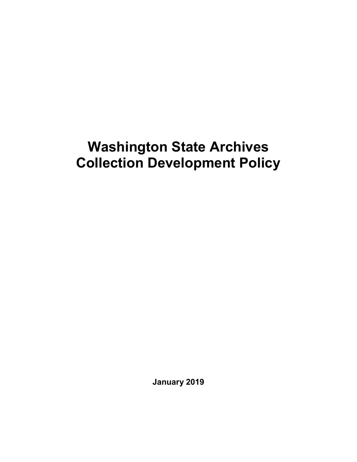# **Washington State Archives Collection Development Policy**

**January 2019**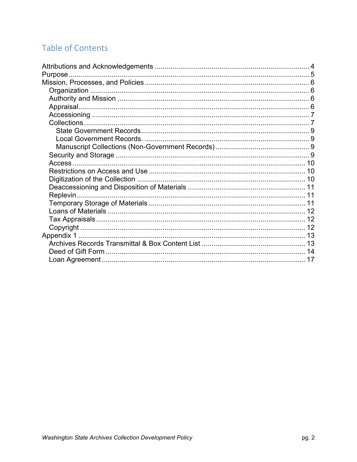# Table of Contents

| Purpose. |  |
|----------|--|
|          |  |
|          |  |
|          |  |
|          |  |
|          |  |
|          |  |
|          |  |
|          |  |
|          |  |
|          |  |
|          |  |
|          |  |
|          |  |
|          |  |
|          |  |
|          |  |
|          |  |
|          |  |
|          |  |
|          |  |
|          |  |
|          |  |
|          |  |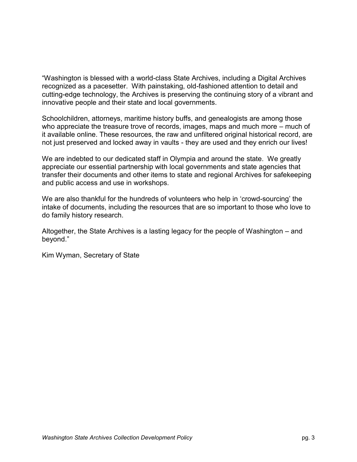"Washington is blessed with a world-class State Archives, including a Digital Archives recognized as a pacesetter. With painstaking, old-fashioned attention to detail and cutting-edge technology, the Archives is preserving the continuing story of a vibrant and innovative people and their state and local governments.

Schoolchildren, attorneys, maritime history buffs, and genealogists are among those who appreciate the treasure trove of records, images, maps and much more – much of it available online. These resources, the raw and unfiltered original historical record, are not just preserved and locked away in vaults - they are used and they enrich our lives!

We are indebted to our dedicated staff in Olympia and around the state. We greatly appreciate our essential partnership with local governments and state agencies that transfer their documents and other items to state and regional Archives for safekeeping and public access and use in workshops.

We are also thankful for the hundreds of volunteers who help in 'crowd-sourcing' the intake of documents, including the resources that are so important to those who love to do family history research.

Altogether, the State Archives is a lasting legacy for the people of Washington – and beyond."

Kim Wyman, Secretary of State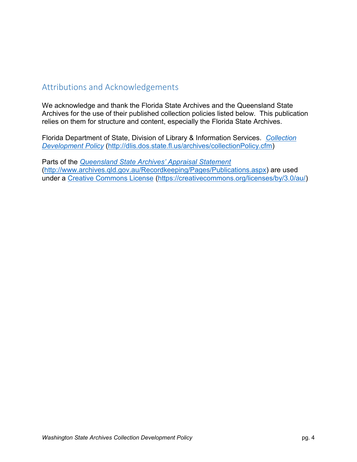# <span id="page-3-0"></span>Attributions and Acknowledgements

We acknowledge and thank the Florida State Archives and the Queensland State Archives for the use of their published collection policies listed below. This publication relies on them for structure and content, especially the Florida State Archives.

Florida Department of State, Division of Library & Information Services. *[Collection](http://dlis.dos.state.fl.us/archives/collectionPolicy.cfm)  [Development Policy](http://dlis.dos.state.fl.us/archives/collectionPolicy.cfm)* [\(http://dlis.dos.state.fl.us/archives/collectionPolicy.cfm\)](http://dlis.dos.state.fl.us/archives/collectionPolicy.cfm)

Parts of the *[Queensland State Archives' Appraisal Statement](http://www.archives.qld.gov.au/Recordkeeping/Pages/Publications.aspx)* [\(http://www.archives.qld.gov.au/Recordkeeping/Pages/Publications.aspx\)](http://www.archives.qld.gov.au/Recordkeeping/Pages/Publications.aspx) are used under a [Creative Commons License](https://creativecommons.org/licenses/by/3.0/au/) [\(https://creativecommons.org/licenses/by/3.0/au/\)](https://creativecommons.org/licenses/by/3.0/au/)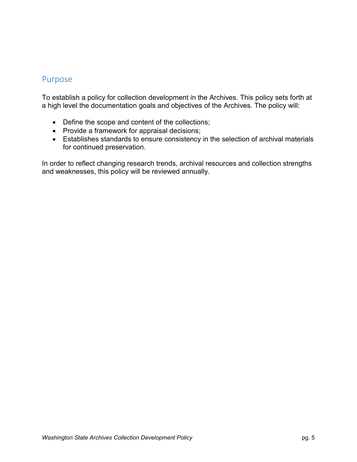#### <span id="page-4-0"></span>Purpose

To establish a policy for collection development in the Archives. This policy sets forth at a high level the documentation goals and objectives of the Archives. The policy will:

- Define the scope and content of the collections;
- Provide a framework for appraisal decisions;
- Establishes standards to ensure consistency in the selection of archival materials for continued preservation.

In order to reflect changing research trends, archival resources and collection strengths and weaknesses, this policy will be reviewed annually.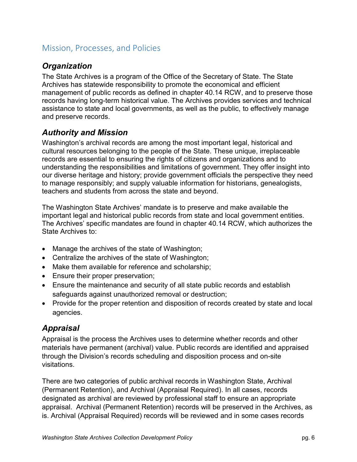# <span id="page-5-0"></span>Mission, Processes, and Policies

#### <span id="page-5-1"></span>*Organization*

The State Archives is a program of the Office of the Secretary of State. The State Archives has statewide responsibility to promote the economical and efficient management of public records as defined in [chapter 40.14 RCW,](http://apps.leg.wa.gov/rcw/default.aspx?cite=40.14) and to preserve those records having long-term historical value. The Archives provides services and technical assistance to state and local governments, as well as the public, to effectively manage and preserve records.

#### <span id="page-5-2"></span>*Authority and Mission*

Washington's archival records are among the most important legal, historical and cultural resources belonging to the people of the State. These unique, irreplaceable records are essential to ensuring the rights of citizens and organizations and to understanding the responsibilities and limitations of government. They offer insight into our diverse heritage and history; provide government officials the perspective they need to manage responsibly; and supply valuable information for historians, genealogists, teachers and students from across the state and beyond.

The Washington State Archives' mandate is to preserve and make available the important legal and historical public records from state and local government entities. The Archives' specific mandates are found in [chapter 40.14](http://apps.leg.wa.gov/rcw/default.aspx?cite=40.14) RCW, which authorizes the State Archives to:

- Manage the archives of the state of Washington;
- Centralize the archives of the state of Washington;
- Make them available for reference and scholarship;
- Ensure their proper preservation;
- Ensure the maintenance and security of all state public records and establish safeguards against unauthorized removal or destruction;
- Provide for the proper retention and disposition of records created by state and local agencies.

# <span id="page-5-3"></span>*Appraisal*

Appraisal is the process the Archives uses to determine whether records and other materials have permanent (archival) value. Public records are identified and appraised through the Division's records scheduling and disposition process and on-site visitations.

There are two categories of public archival records in Washington State, Archival (Permanent Retention), and Archival (Appraisal Required). In all cases, records designated as archival are reviewed by professional staff to ensure an appropriate appraisal. Archival (Permanent Retention) records will be preserved in the Archives, as is. Archival (Appraisal Required) records will be reviewed and in some cases records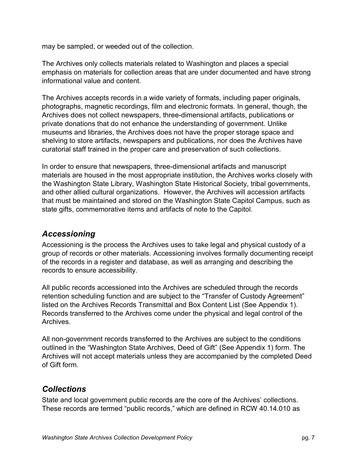may be sampled, or weeded out of the collection.

The Archives only collects materials related to Washington and places a special emphasis on materials for collection areas that are under documented and have strong informational value and content.

The Archives accepts records in a wide variety of formats, including paper originals, photographs, magnetic recordings, film and electronic formats. In general, though, the Archives does not collect newspapers, three-dimensional artifacts, publications or private donations that do not enhance the understanding of government. Unlike museums and libraries, the Archives does not have the proper storage space and shelving to store artifacts, newspapers and publications, nor does the Archives have curatorial staff trained in the proper care and preservation of such collections.

In order to ensure that newspapers, three-dimensional artifacts and manuscript materials are housed in the most appropriate institution, the Archives works closely with the Washington State Library, Washington State Historical Society, tribal governments, and other allied cultural organizations. However, the Archives will accession artifacts that must be maintained and stored on the Washington State Capitol Campus, such as state gifts, commemorative items and artifacts of note to the Capitol.

#### <span id="page-6-0"></span>*Accessioning*

Accessioning is the process the Archives uses to take legal and physical custody of a group of records or other materials. Accessioning involves formally documenting receipt of the records in a register and database, as well as arranging and describing the records to ensure accessibility.

All public records accessioned into the Archives are scheduled through the records retention scheduling function and are subject to the "Transfer of Custody Agreement" listed on the Archives Records Transmittal and Box Content List (See Appendix 1). Records transferred to the Archives come under the physical and legal control of the Archives.

All non-government records transferred to the Archives are subject to the conditions outlined in the "Washington State Archives, Deed of Gift" (See Appendix 1) form. The Archives will not accept materials unless they are accompanied by the completed Deed of Gift form.

#### <span id="page-6-1"></span>*Collections*

State and local government public records are the core of the Archives' collections. These records are termed "public records," which are defined in [RCW 40.14.010](http://app.leg.wa.gov/RCW/default.aspx?cite=40.14.010) as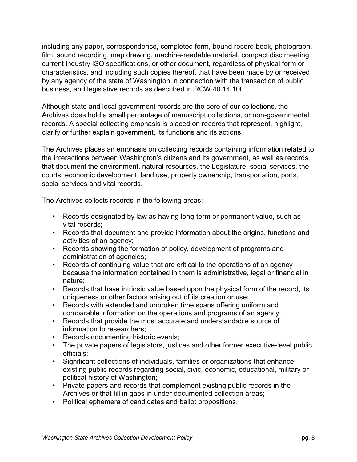including any paper, correspondence, completed form, bound record book, photograph, film, sound recording, map drawing, machine-readable material, compact disc meeting current industry ISO specifications, or other document, regardless of physical form or characteristics, and including such copies thereof, that have been made by or received by any agency of the state of Washington in connection with the transaction of public business, and legislative records as described in RCW [40.14.100.](http://app.leg.wa.gov/rcw/default.aspx?cite=40.14.100)

Although state and local government records are the core of our collections, the Archives does hold a small percentage of manuscript collections, or non-governmental records. A special collecting emphasis is placed on records that represent, highlight, clarify or further explain government, its functions and its actions.

The Archives places an emphasis on collecting records containing information related to the interactions between Washington's citizens and its government, as well as records that document the environment, natural resources, the Legislature, social services, the courts, economic development, land use, property ownership, transportation, ports, social services and vital records.

The Archives collects records in the following areas:

- Records designated by law as having long-term or permanent value, such as vital records;
- Records that document and provide information about the origins, functions and activities of an agency;
- Records showing the formation of policy, development of programs and administration of agencies;
- Records of continuing value that are critical to the operations of an agency because the information contained in them is administrative, legal or financial in nature;
- Records that have intrinsic value based upon the physical form of the record, its uniqueness or other factors arising out of its creation or use;
- Records with extended and unbroken time spans offering uniform and comparable information on the operations and programs of an agency;
- Records that provide the most accurate and understandable source of information to researchers;
- Records documenting historic events;
- The private papers of legislators, justices and other former executive-level public officials;
- Significant collections of individuals, families or organizations that enhance existing public records regarding social, civic, economic, educational, military or political history of Washington;
- Private papers and records that complement existing public records in the Archives or that fill in gaps in under documented collection areas;
- Political ephemera of candidates and ballot propositions.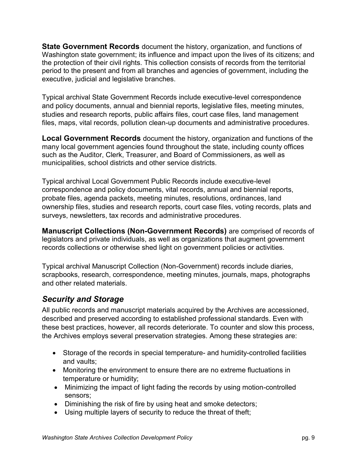<span id="page-8-0"></span>**State Government Records** document the history, organization, and functions of Washington state government; its influence and impact upon the lives of its citizens; and the protection of their civil rights. This collection consists of records from the territorial period to the present and from all branches and agencies of government, including the executive, judicial and legislative branches.

Typical archival State Government Records include executive-level correspondence and policy documents, annual and biennial reports, legislative files, meeting minutes, studies and research reports, public affairs files, court case files, land management files, maps, vital records, pollution clean-up documents and administrative procedures.

<span id="page-8-1"></span>**Local Government Records** document the history, organization and functions of the many local government agencies found throughout the state, including county offices such as the Auditor, Clerk, Treasurer, and Board of Commissioners, as well as municipalities, school districts and other service districts.

Typical archival Local Government Public Records include executive-level correspondence and policy documents, vital records, annual and biennial reports, probate files, agenda packets, meeting minutes, resolutions, ordinances, land ownership files, studies and research reports, court case files, voting records, plats and surveys, newsletters, tax records and administrative procedures.

<span id="page-8-2"></span>**Manuscript Collections (Non-Government Records)** are comprised of records of legislators and private individuals, as well as organizations that augment government records collections or otherwise shed light on government policies or activities.

Typical archival Manuscript Collection (Non-Government) records include diaries, scrapbooks, research, correspondence, meeting minutes, journals, maps, photographs and other related materials.

# <span id="page-8-3"></span>*Security and Storage*

All public records and manuscript materials acquired by the Archives are accessioned, described and preserved according to established professional standards. Even with these best practices, however, all records deteriorate. To counter and slow this process, the Archives employs several preservation strategies. Among these strategies are:

- Storage of the records in special temperature- and humidity-controlled facilities and vaults;
- Monitoring the environment to ensure there are no extreme fluctuations in temperature or humidity;
- Minimizing the impact of light fading the records by using motion-controlled sensors;
- Diminishing the risk of fire by using heat and smoke detectors;
- Using multiple layers of security to reduce the threat of theft;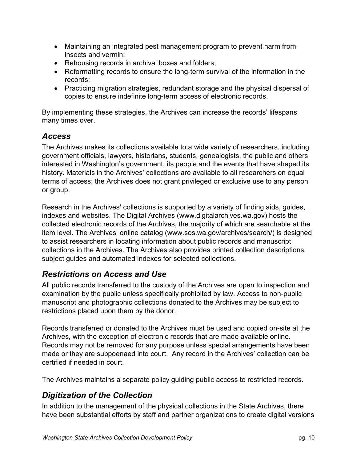- Maintaining an integrated pest management program to prevent harm from insects and vermin;
- Rehousing records in archival boxes and folders;
- Reformatting records to ensure the long-term survival of the information in the records;
- Practicing migration strategies, redundant storage and the physical dispersal of copies to ensure indefinite long-term access of electronic records.

By implementing these strategies, the Archives can increase the records' lifespans many times over.

#### <span id="page-9-0"></span>*Access*

The Archives makes its collections available to a wide variety of researchers, including government officials, lawyers, historians, students, genealogists, the public and others interested in Washington's government, its people and the events that have shaped its history. Materials in the Archives' collections are available to all researchers on equal terms of access; the Archives does not grant privileged or exclusive use to any person or group.

Research in the Archives' collections is supported by a variety of finding aids, guides, indexes and websites. The Digital Archives [\(www.digitalarchives.wa.gov\)](http://www.digitalarchives.wa.gov/) hosts the collected electronic records of the Archives, the majority of which are searchable at the item level. The Archives' online catalog [\(www.sos.wa.gov/archives/search/\)](http://www.sos.wa.gov/archives/search.aspx) is designed to assist researchers in locating information about public records and manuscript collections in the Archives. The Archives also provides printed collection descriptions, subject guides and automated indexes for selected collections.

# <span id="page-9-1"></span>*Restrictions on Access and Use*

All public records transferred to the custody of the Archives are open to inspection and examination by the public unless specifically prohibited by law. Access to non-public manuscript and photographic collections donated to the Archives may be subject to restrictions placed upon them by the donor.

Records transferred or donated to the Archives must be used and copied on-site at the Archives, with the exception of electronic records that are made available online. Records may not be removed for any purpose unless special arrangements have been made or they are subpoenaed into court. Any record in the Archives' collection can be certified if needed in court.

The Archives maintains a separate policy guiding public access to restricted records.

# <span id="page-9-2"></span>*Digitization of the Collection*

In addition to the management of the physical collections in the State Archives, there have been substantial efforts by staff and partner organizations to create digital versions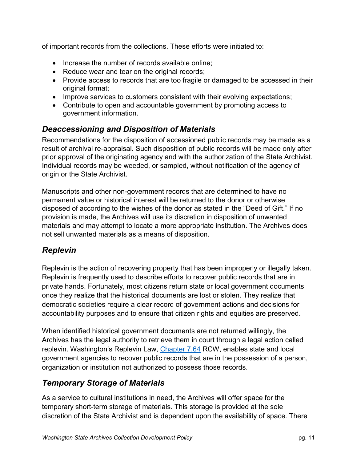of important records from the collections. These efforts were initiated to:

- Increase the number of records available online;
- Reduce wear and tear on the original records;
- Provide access to records that are too fragile or damaged to be accessed in their original format;
- Improve services to customers consistent with their evolving expectations;
- Contribute to open and accountable government by promoting access to government information.

# <span id="page-10-0"></span>*Deaccessioning and Disposition of Materials*

Recommendations for the disposition of accessioned public records may be made as a result of archival re-appraisal. Such disposition of public records will be made only after prior approval of the originating agency and with the authorization of the State Archivist. Individual records may be weeded, or sampled, without notification of the agency of origin or the State Archivist.

Manuscripts and other non-government records that are determined to have no permanent value or historical interest will be returned to the donor or otherwise disposed of according to the wishes of the donor as stated in the "Deed of Gift." If no provision is made, the Archives will use its discretion in disposition of unwanted materials and may attempt to locate a more appropriate institution. The Archives does not sell unwanted materials as a means of disposition.

# <span id="page-10-1"></span>*Replevin*

Replevin is the action of recovering property that has been improperly or illegally taken. Replevin is frequently used to describe efforts to recover public records that are in private hands. Fortunately, most citizens return state or local government documents once they realize that the historical documents are lost or stolen. They realize that democratic societies require a clear record of government actions and decisions for accountability purposes and to ensure that citizen rights and equities are preserved.

When identified historical government documents are not returned willingly, the Archives has the legal authority to retrieve them in court through a legal action called replevin. Washington's Replevin Law, [Chapter 7.64](http://app.leg.wa.gov/RCW/default.aspx?cite=7.64&full=true) RCW, enables state and local government agencies to recover public records that are in the possession of a person, organization or institution not authorized to possess those records.

# <span id="page-10-2"></span>*Temporary Storage of Materials*

As a service to cultural institutions in need, the Archives will offer space for the temporary short-term storage of materials. This storage is provided at the sole discretion of the State Archivist and is dependent upon the availability of space. There